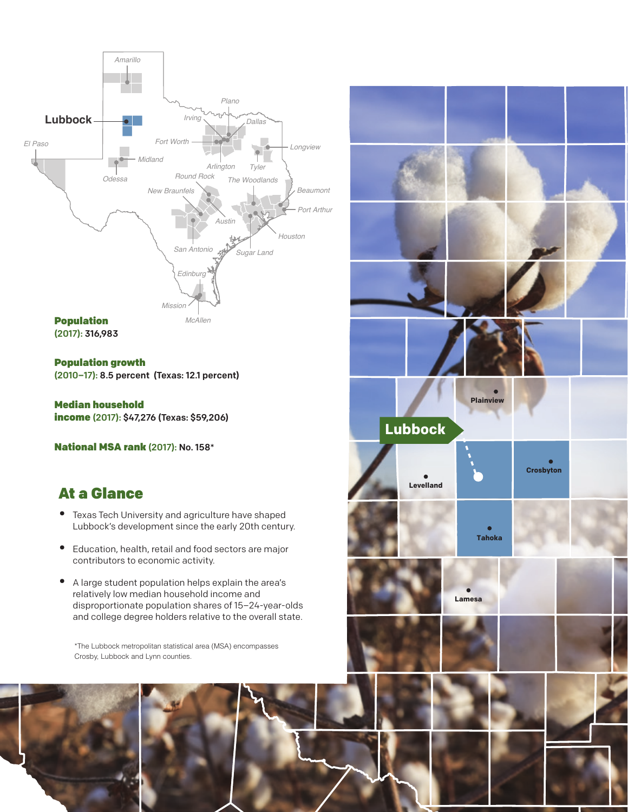

Population growth (2010–17): 8.5 percent (Texas: 12.1 percent)

Median household income (2017): \$47,276 (Texas: \$59,206)

National MSA rank (2017): No. 158\*

# At a Glance

- Texas Tech University and agriculture have shaped Lubbock's development since the early 20th century.
- Education, health, retail and food sectors are major contributors to economic activity.
- A large student population helps explain the area's relatively low median household income and disproportionate population shares of 15–24-year-olds and college degree holders relative to the overall state.

\*The Lubbock metropolitan statistical area (MSA) encompasses Crosby, Lubbock and Lynn counties.

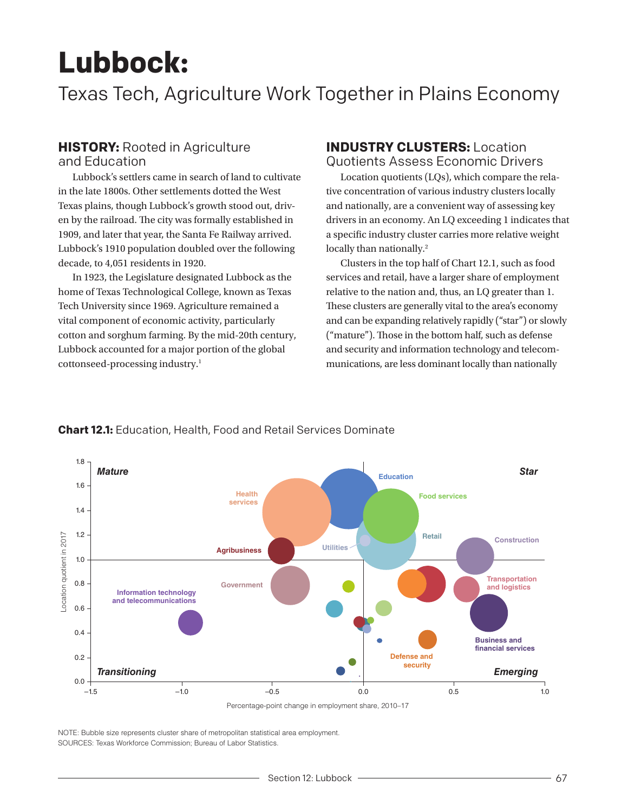# **Lubbock:**

Texas Tech, Agriculture Work Together in Plains Economy

# **HISTORY: Rooted in Agriculture**

and Education

Lubbock's settlers came in search of land to cultivate in the late 1800s. Other settlements dotted the West Texas plains, though Lubbock's growth stood out, driven by the railroad. The city was formally established in 1909, and later that year, the Santa Fe Railway arrived. Lubbock's 1910 population doubled over the following decade, to 4,051 residents in 1920.

In 1923, the Legislature designated Lubbock as the home of Texas Technological College, known as Texas Tech University since 1969. Agriculture remained a vital component of economic activity, particularly cotton and sorghum farming. By the mid-20th century, Lubbock accounted for a major portion of the global cottonseed-processing industry.1

## **INDUSTRY CLUSTERS:** Location Quotients Assess Economic Drivers

Location quotients (LQs), which compare the relative concentration of various industry clusters locally and nationally, are a convenient way of assessing key drivers in an economy. An LQ exceeding 1 indicates that a specific industry cluster carries more relative weight locally than nationally.<sup>2</sup>

Clusters in the top half of Chart 12.1, such as food services and retail, have a larger share of employment relative to the nation and, thus, an LQ greater than 1. These clusters are generally vital to the area's economy and can be expanding relatively rapidly ("star") or slowly ("mature"). Those in the bottom half, such as defense and security and information technology and telecommunications, are less dominant locally than nationally



### **Chart 12.1:** Education, Health, Food and Retail Services Dominate

NOTE: Bubble size represents cluster share of metropolitan statistical area employment. SOURCES: Texas Workforce Commission; Bureau of Labor Statistics.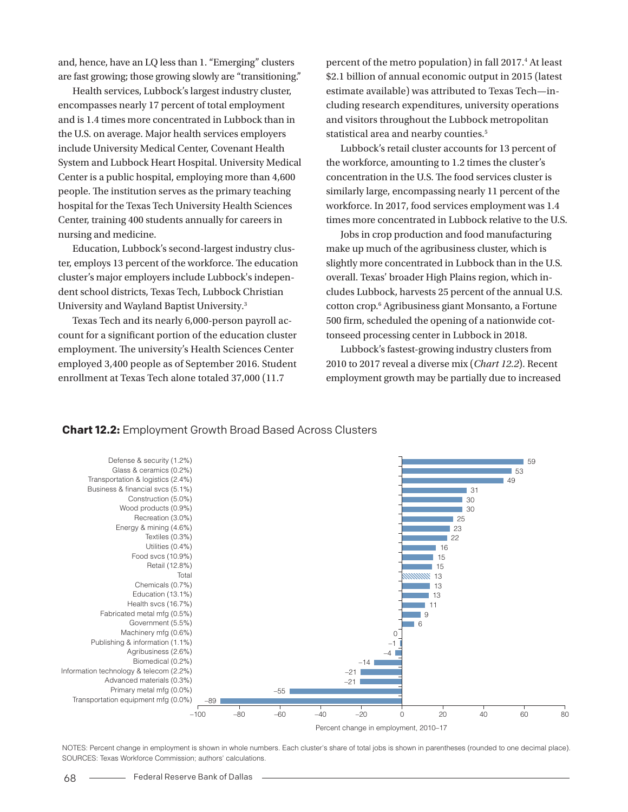and, hence, have an LQ less than 1. "Emerging" clusters are fast growing; those growing slowly are "transitioning."

Health services, Lubbock's largest industry cluster, encompasses nearly 17 percent of total employment and is 1.4 times more concentrated in Lubbock than in the U.S. on average. Major health services employers include University Medical Center, Covenant Health System and Lubbock Heart Hospital. University Medical Center is a public hospital, employing more than 4,600 people. The institution serves as the primary teaching hospital for the Texas Tech University Health Sciences Center, training 400 students annually for careers in nursing and medicine.

Education, Lubbock's second-largest industry cluster, employs 13 percent of the workforce. The education cluster's major employers include Lubbock's independent school districts, Texas Tech, Lubbock Christian University and Wayland Baptist University.3

Texas Tech and its nearly 6,000-person payroll account for a significant portion of the education cluster employment. The university's Health Sciences Center employed 3,400 people as of September 2016. Student enrollment at Texas Tech alone totaled 37,000 (11.7

percent of the metro population) in fall 2017.<sup>4</sup> At least \$2.1 billion of annual economic output in 2015 (latest estimate available) was attributed to Texas Tech—including research expenditures, university operations and visitors throughout the Lubbock metropolitan statistical area and nearby counties.<sup>5</sup>

Lubbock's retail cluster accounts for 13 percent of the workforce, amounting to 1.2 times the cluster's concentration in the U.S. The food services cluster is similarly large, encompassing nearly 11 percent of the workforce. In 2017, food services employment was 1.4 times more concentrated in Lubbock relative to the U.S.

Jobs in crop production and food manufacturing make up much of the agribusiness cluster, which is slightly more concentrated in Lubbock than in the U.S. overall. Texas' broader High Plains region, which includes Lubbock, harvests 25 percent of the annual U.S. cotton crop.6 Agribusiness giant Monsanto, a Fortune 500 firm, scheduled the opening of a nationwide cottonseed processing center in Lubbock in 2018.

Lubbock's fastest-growing industry clusters from 2010 to 2017 reveal a diverse mix (*Chart 12.2*). Recent employment growth may be partially due to increased

#### **Chart 12.2:** Employment Growth Broad Based Across Clusters



NOTES: Percent change in employment is shown in whole numbers. Each cluster's share of total jobs is shown in parentheses (rounded to one decimal place). SOURCES: Texas Workforce Commission; authors' calculations.